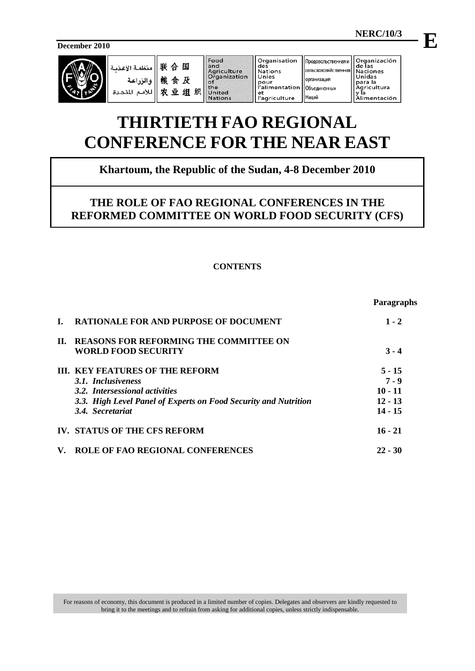**December 2010**



| 联合    منظصة الإ<br>   المنظصة الإ<br>   للأصم المذ |  |
|----------------------------------------------------|--|
|                                                    |  |
|                                                    |  |

Food 国 **Tood**<br>
and<br>
Agriculture<br>
Organization 及 orgam.<br>
of<br>
the<br>
United 组织 **Nations** 

Organisation<br>des Продовольственная и |<br>|сельскохозяйственна Nations<br>Unies **юрганизация** pour<br>|'alimentation Объединенных et<br>l'agriculture Наций

Organización<br>de las<br>Naciones<br>Unidas<br>para la<br>Agricultura<br>Vla y la<br>Alimentación

# **THIRTIETH FAO REGIONAL CONFERENCE FOR THE NEAR EAST**

# **Khartoum, the Republic of the Sudan, 4-8 December 2010**

# **THE ROLE OF FAO REGIONAL CONFERENCES IN THE REFORMED COMMITTEE ON WORLD FOOD SECURITY (CFS)**

## **CONTENTS**

|    |                                                                 | <b>Paragraphs</b> |
|----|-----------------------------------------------------------------|-------------------|
|    | <b>RATIONALE FOR AND PURPOSE OF DOCUMENT</b>                    | $1 - 2$           |
| П. | <b>REASONS FOR REFORMING THE COMMITTEE ON</b>                   |                   |
|    | <b>WORLD FOOD SECURITY</b>                                      | $3 - 4$           |
|    | <b>III. KEY FEATURES OF THE REFORM</b>                          | $5 - 15$          |
|    | 3.1. Inclusiveness                                              | $7 - 9$           |
|    | 3.2. Intersessional activities                                  | $10 - 11$         |
|    | 3.3. High Level Panel of Experts on Food Security and Nutrition | $12 - 13$         |
|    | 3.4 Secretariat                                                 | $14 - 15$         |
|    | IV. STATUS OF THE CFS REFORM                                    | $16 - 21$         |
| V. | <b>ROLE OF FAO REGIONAL CONFERENCES</b>                         | $22 - 30$         |

For reasons of economy, this document is produced in a limited number of copies. Delegates and observers are kindly requested to bring it to the meetings and to refrain from asking for additional copies, unless strictly indispensable.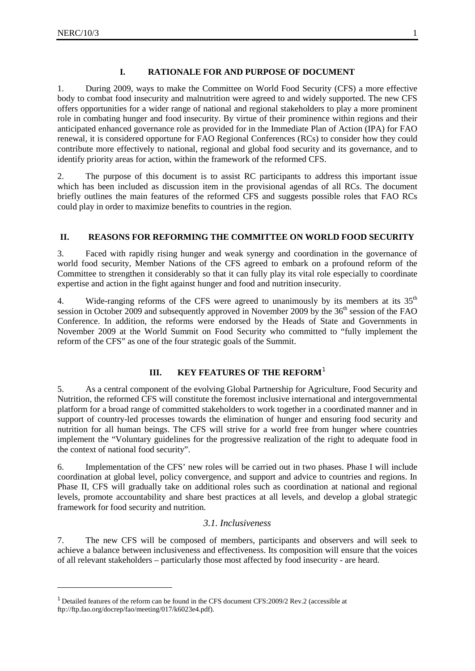<u>.</u>

### **I. RATIONALE FOR AND PURPOSE OF DOCUMENT**

1. During 2009, ways to make the Committee on World Food Security (CFS) a more effective body to combat food insecurity and malnutrition were agreed to and widely supported. The new CFS offers opportunities for a wider range of national and regional stakeholders to play a more prominent role in combating hunger and food insecurity. By virtue of their prominence within regions and their anticipated enhanced governance role as provided for in the Immediate Plan of Action (IPA) for FAO renewal, it is considered opportune for FAO Regional Conferences (RCs) to consider how they could contribute more effectively to national, regional and global food security and its governance, and to identify priority areas for action, within the framework of the reformed CFS.

2. The purpose of this document is to assist RC participants to address this important issue which has been included as discussion item in the provisional agendas of all RCs. The document briefly outlines the main features of the reformed CFS and suggests possible roles that FAO RCs could play in order to maximize benefits to countries in the region.

### **II. REASONS FOR REFORMING THE COMMITTEE ON WORLD FOOD SECURITY**

3. Faced with rapidly rising hunger and weak synergy and coordination in the governance of world food security, Member Nations of the CFS agreed to embark on a profound reform of the Committee to strengthen it considerably so that it can fully play its vital role especially to coordinate expertise and action in the fight against hunger and food and nutrition insecurity.

4. Wide-ranging reforms of the CFS were agreed to unanimously by its members at its  $35<sup>th</sup>$ session in October 2009 and subsequently approved in November 2009 by the 36<sup>th</sup> session of the FAO Conference. In addition, the reforms were endorsed by the Heads of State and Governments in November 2009 at the World Summit on Food Security who committed to "fully implement the reform of the CFS" as one of the four strategic goals of the Summit.

## **III. KEY FEATURES OF THE REFORM<sup>[1](#page-2-0)</sup>**

5. As a central component of the evolving Global Partnership for Agriculture, Food Security and Nutrition, the reformed CFS will constitute the foremost inclusive international and intergovernmental platform for a broad range of committed stakeholders to work together in a coordinated manner and in support of country-led processes towards the elimination of hunger and ensuring food security and nutrition for all human beings. The CFS will strive for a world free from hunger where countries implement the "Voluntary guidelines for the progressive realization of the right to adequate food in the context of national food security".

6. Implementation of the CFS' new roles will be carried out in two phases. Phase I will include coordination at global level, policy convergence, and support and advice to countries and regions. In Phase II, CFS will gradually take on additional roles such as coordination at national and regional levels, promote accountability and share best practices at all levels, and develop a global strategic framework for food security and nutrition.

### *3.1. Inclusiveness*

7. The new CFS will be composed of members, participants and observers and will seek to achieve a balance between inclusiveness and effectiveness. Its composition will ensure that the voices of all relevant stakeholders – particularly those most affected by food insecurity - are heard.

<span id="page-2-0"></span><sup>&</sup>lt;sup>1</sup> Detailed features of the reform can be found in the CFS document CFS:2009/2 Rev.2 (accessible at ftp://ftp.fao.org/docrep/fao/meeting/017/k6023e4.pdf).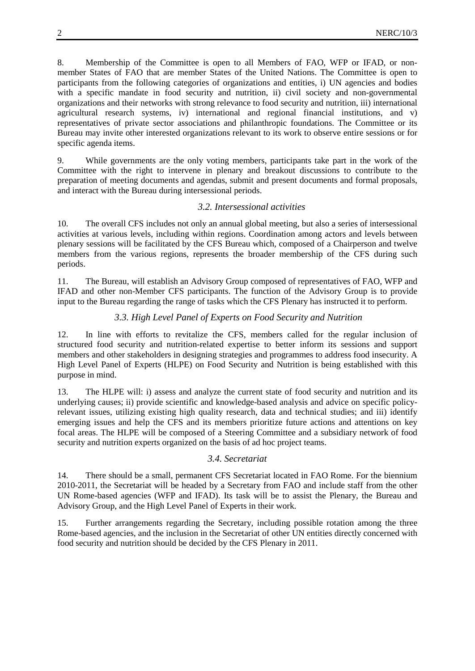8. Membership of the Committee is open to all Members of FAO, WFP or IFAD, or nonmember States of FAO that are member States of the United Nations. The Committee is open to participants from the following categories of organizations and entities, i) UN agencies and bodies with a specific mandate in food security and nutrition, ii) civil society and non-governmental organizations and their networks with strong relevance to food security and nutrition, iii) international agricultural research systems, iv) international and regional financial institutions, and v) representatives of private sector associations and philanthropic foundations. The Committee or its Bureau may invite other interested organizations relevant to its work to observe entire sessions or for specific agenda items.

9. While governments are the only voting members, participants take part in the work of the Committee with the right to intervene in plenary and breakout discussions to contribute to the preparation of meeting documents and agendas, submit and present documents and formal proposals, and interact with the Bureau during intersessional periods.

#### *3.2. Intersessional activities*

10. The overall CFS includes not only an annual global meeting, but also a series of intersessional activities at various levels, including within regions. Coordination among actors and levels between plenary sessions will be facilitated by the CFS Bureau which, composed of a Chairperson and twelve members from the various regions, represents the broader membership of the CFS during such periods.

11. The Bureau, will establish an Advisory Group composed of representatives of FAO, WFP and IFAD and other non-Member CFS participants. The function of the Advisory Group is to provide input to the Bureau regarding the range of tasks which the CFS Plenary has instructed it to perform.

### *3.3. High Level Panel of Experts on Food Security and Nutrition*

12. In line with efforts to revitalize the CFS, members called for the regular inclusion of structured food security and nutrition-related expertise to better inform its sessions and support members and other stakeholders in designing strategies and programmes to address food insecurity. A High Level Panel of Experts (HLPE) on Food Security and Nutrition is being established with this purpose in mind.

13. The HLPE will: i) assess and analyze the current state of food security and nutrition and its underlying causes; ii) provide scientific and knowledge-based analysis and advice on specific policyrelevant issues, utilizing existing high quality research, data and technical studies; and iii) identify emerging issues and help the CFS and its members prioritize future actions and attentions on key focal areas. The HLPE will be composed of a Steering Committee and a subsidiary network of food security and nutrition experts organized on the basis of ad hoc project teams.

### *3.4. Secretariat*

14. There should be a small, permanent CFS Secretariat located in FAO Rome. For the biennium 2010-2011, the Secretariat will be headed by a Secretary from FAO and include staff from the other UN Rome-based agencies (WFP and IFAD). Its task will be to assist the Plenary, the Bureau and Advisory Group, and the High Level Panel of Experts in their work.

15. Further arrangements regarding the Secretary, including possible rotation among the three Rome-based agencies, and the inclusion in the Secretariat of other UN entities directly concerned with food security and nutrition should be decided by the CFS Plenary in 2011.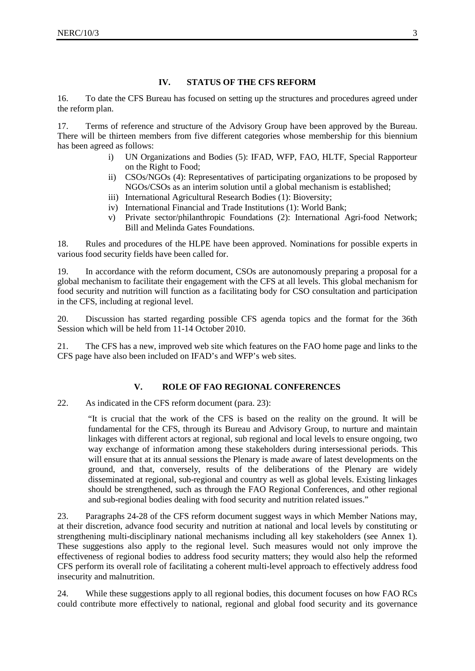#### **IV. STATUS OF THE CFS REFORM**

16. To date the CFS Bureau has focused on setting up the structures and procedures agreed under the reform plan.

17. Terms of reference and structure of the Advisory Group have been approved by the Bureau. There will be thirteen members from five different categories whose membership for this biennium has been agreed as follows:

- i) UN Organizations and Bodies (5): IFAD, WFP, FAO, HLTF, Special Rapporteur on the Right to Food;
- ii) CSOs/NGOs (4): Representatives of participating organizations to be proposed by NGOs/CSOs as an interim solution until a global mechanism is established;
- iii) International Agricultural Research Bodies (1): Bioversity;
- iv) International Financial and Trade Institutions (1): World Bank;
- v) Private sector/philanthropic Foundations (2): International Agri-food Network; Bill and Melinda Gates Foundations.

18. Rules and procedures of the HLPE have been approved. Nominations for possible experts in various food security fields have been called for.

19. In accordance with the reform document, CSOs are autonomously preparing a proposal for a global mechanism to facilitate their engagement with the CFS at all levels. This global mechanism for food security and nutrition will function as a facilitating body for CSO consultation and participation in the CFS, including at regional level.

20. Discussion has started regarding possible CFS agenda topics and the format for the 36th Session which will be held from 11-14 October 2010.

21. The CFS has a new, improved web site which features on the FAO home page and links to the CFS page have also been included on IFAD's and WFP's web sites.

#### **V. ROLE OF FAO REGIONAL CONFERENCES**

22. As indicated in the CFS reform document (para. 23):

"It is crucial that the work of the CFS is based on the reality on the ground. It will be fundamental for the CFS, through its Bureau and Advisory Group, to nurture and maintain linkages with different actors at regional, sub regional and local levels to ensure ongoing, two way exchange of information among these stakeholders during intersessional periods. This will ensure that at its annual sessions the Plenary is made aware of latest developments on the ground, and that, conversely, results of the deliberations of the Plenary are widely disseminated at regional, sub-regional and country as well as global levels. Existing linkages should be strengthened, such as through the FAO Regional Conferences, and other regional and sub-regional bodies dealing with food security and nutrition related issues."

23. Paragraphs 24-28 of the CFS reform document suggest ways in which Member Nations may, at their discretion, advance food security and nutrition at national and local levels by constituting or strengthening multi-disciplinary national mechanisms including all key stakeholders (see Annex 1). These suggestions also apply to the regional level. Such measures would not only improve the effectiveness of regional bodies to address food security matters; they would also help the reformed CFS perform its overall role of facilitating a coherent multi-level approach to effectively address food insecurity and malnutrition.

24. While these suggestions apply to all regional bodies, this document focuses on how FAO RCs could contribute more effectively to national, regional and global food security and its governance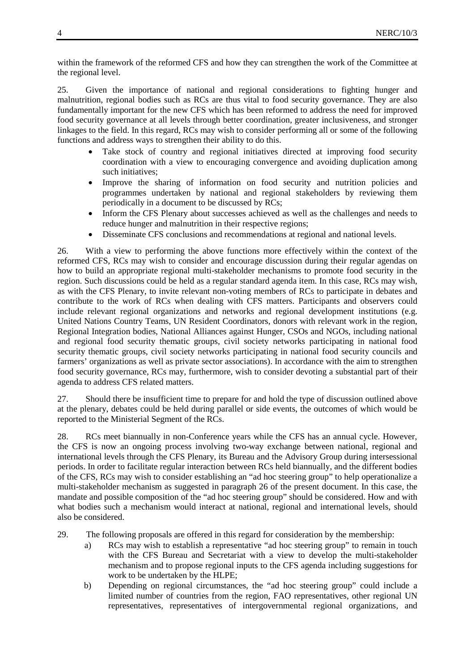within the framework of the reformed CFS and how they can strengthen the work of the Committee at the regional level.

25. Given the importance of national and regional considerations to fighting hunger and malnutrition, regional bodies such as RCs are thus vital to food security governance. They are also fundamentally important for the new CFS which has been reformed to address the need for improved food security governance at all levels through better coordination, greater inclusiveness, and stronger linkages to the field. In this regard, RCs may wish to consider performing all or some of the following functions and address ways to strengthen their ability to do this.

- Take stock of country and regional initiatives directed at improving food security coordination with a view to encouraging convergence and avoiding duplication among such initiatives;
- Improve the sharing of information on food security and nutrition policies and programmes undertaken by national and regional stakeholders by reviewing them periodically in a document to be discussed by RCs;
- Inform the CFS Plenary about successes achieved as well as the challenges and needs to reduce hunger and malnutrition in their respective regions;
- Disseminate CFS conclusions and recommendations at regional and national levels.

26. With a view to performing the above functions more effectively within the context of the reformed CFS, RCs may wish to consider and encourage discussion during their regular agendas on how to build an appropriate regional multi-stakeholder mechanisms to promote food security in the region. Such discussions could be held as a regular standard agenda item. In this case, RCs may wish, as with the CFS Plenary, to invite relevant non-voting members of RCs to participate in debates and contribute to the work of RCs when dealing with CFS matters. Participants and observers could include relevant regional organizations and networks and regional development institutions (e.g. United Nations Country Teams, UN Resident Coordinators, donors with relevant work in the region, Regional Integration bodies, National Alliances against Hunger, CSOs and NGOs, including national and regional food security thematic groups, civil society networks participating in national food security thematic groups, civil society networks participating in national food security councils and farmers' organizations as well as private sector associations). In accordance with the aim to strengthen food security governance, RCs may, furthermore, wish to consider devoting a substantial part of their agenda to address CFS related matters.

27. Should there be insufficient time to prepare for and hold the type of discussion outlined above at the plenary, debates could be held during parallel or side events, the outcomes of which would be reported to the Ministerial Segment of the RCs.

28. RCs meet biannually in non-Conference years while the CFS has an annual cycle. However, the CFS is now an ongoing process involving two-way exchange between national, regional and international levels through the CFS Plenary, its Bureau and the Advisory Group during intersessional periods. In order to facilitate regular interaction between RCs held biannually, and the different bodies of the CFS, RCs may wish to consider establishing an "ad hoc steering group" to help operationalize a multi-stakeholder mechanism as suggested in paragraph 26 of the present document. In this case, the mandate and possible composition of the "ad hoc steering group" should be considered. How and with what bodies such a mechanism would interact at national, regional and international levels, should also be considered.

29. The following proposals are offered in this regard for consideration by the membership:

- a) RCs may wish to establish a representative "ad hoc steering group" to remain in touch with the CFS Bureau and Secretariat with a view to develop the multi-stakeholder mechanism and to propose regional inputs to the CFS agenda including suggestions for work to be undertaken by the HLPE;
- b) Depending on regional circumstances, the "ad hoc steering group" could include a limited number of countries from the region, FAO representatives, other regional UN representatives, representatives of intergovernmental regional organizations, and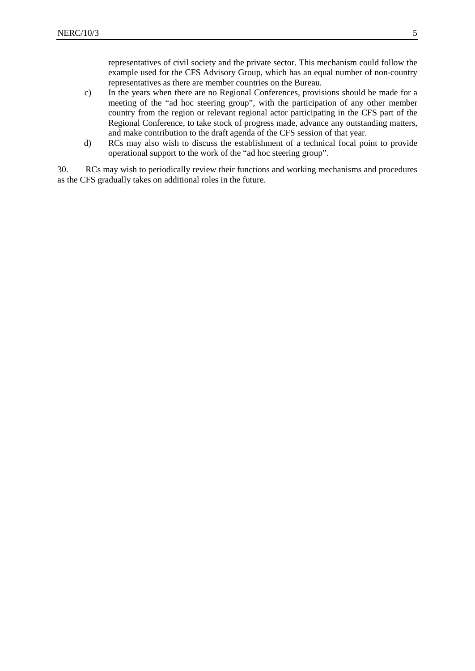representatives of civil society and the private sector. This mechanism could follow the example used for the CFS Advisory Group, which has an equal number of non-country representatives as there are member countries on the Bureau.

- c) In the years when there are no Regional Conferences, provisions should be made for a meeting of the "ad hoc steering group", with the participation of any other member country from the region or relevant regional actor participating in the CFS part of the Regional Conference, to take stock of progress made, advance any outstanding matters, and make contribution to the draft agenda of the CFS session of that year.
- d) RCs may also wish to discuss the establishment of a technical focal point to provide operational support to the work of the "ad hoc steering group".

30. RCs may wish to periodically review their functions and working mechanisms and procedures as the CFS gradually takes on additional roles in the future.